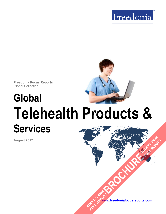



**Freedonia Focus Reports** Global Collection

# **Global Telehealth Products & Services**

**August 2017**

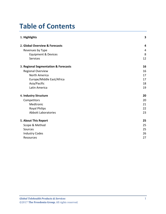## **Table of Contents**

| 1. Highlights                        | 3  |
|--------------------------------------|----|
| 2. Global Overview & Forecasts       | 4  |
| Revenues by Type                     | 4  |
| <b>Equipment &amp; Devices</b>       | 8  |
| Services                             | 12 |
| 3. Regional Segmentation & Forecasts | 16 |
| <b>Regional Overview</b>             | 16 |
| North America                        | 17 |
| Europe/Middle East/Africa            | 17 |
| Asia/Pacific                         | 18 |
| Latin America                        | 19 |
| 4. Industry Structure                | 20 |
| Competitors                          | 20 |
| Medtronic                            | 21 |
| <b>Royal Philips</b>                 | 22 |
| <b>Abbott Laboratories</b>           | 23 |
| 5. About This Report                 | 25 |
| Scope & Method                       | 25 |
| Sources                              | 25 |
| <b>Industry Codes</b>                | 26 |
| Resources                            | 27 |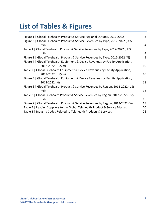## **List of Tables & Figures**

| Figure 1   Global Telehealth Product & Service Regional Outlook, 2017-2022<br>Figure 2   Global Telehealth Product & Service Revenues by Type, 2012-2022 (US\$ | 3              |
|----------------------------------------------------------------------------------------------------------------------------------------------------------------|----------------|
| mil)                                                                                                                                                           | $\overline{4}$ |
| Table 1   Global Telehealth Product & Service Revenues by Type, 2012-2022 (US\$                                                                                |                |
| mil)                                                                                                                                                           | $\overline{4}$ |
| Figure 3   Global Telehealth Product & Service Revenues by Type, 2012-2022 (%)                                                                                 | 5              |
| Figure 4   Global Telehealth Equipment & Device Revenues by Facility Application,                                                                              |                |
| 2012-2022 (US\$ mil)                                                                                                                                           | 10             |
| Table 2   Global Telehealth Equipment & Device Revenues by Facility Application,                                                                               |                |
| 2012-2022 (US\$ mil)                                                                                                                                           | 10             |
| Figure 5   Global Telehealth Equipment & Device Revenues by Facility Application,                                                                              |                |
| 2012-2022 (%)                                                                                                                                                  | 11             |
| Figure 6   Global Telehealth Product & Service Revenues by Region, 2012-2022 (US\$                                                                             |                |
| mil)                                                                                                                                                           | 16             |
| Table 3   Global Telehealth Product & Service Revenues by Region, 2012-2022 (US\$                                                                              |                |
| mil)                                                                                                                                                           | 16             |
| Figure 7   Global Telehealth Product & Service Revenues by Region, 2012-2022 (%)                                                                               | 19             |
| Table 4   Leading Suppliers to the Global Telehealth Product & Service Market                                                                                  | 20             |
| Table 5   Industry Codes Related to Telehealth Products & Services                                                                                             | 26             |
|                                                                                                                                                                |                |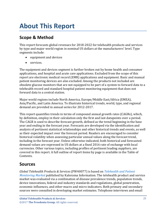## <span id="page-3-0"></span>**About This Report**

### <span id="page-3-1"></span>**Scope & Method**

This report forecasts global revenues for 2018-2022 for telehealth products and services by type and major world region in nominal US dollars at the manufacturers' level. Type segments include:

- equipment and devices
- services.

The equipment and devices segment is further broken out by home health and consumer applications, and hospital and acute care applications. Excluded from the scope of this report are electronic medical record (EMR) applications and equipment. Basic and manual patient monitoring devices are also excluded. Among the products not included are obsolete glucose monitors that are not equipped to be part of a system to forward data to a telehealth record and standard hospital patient monitoring equipment that does not forward data to a central station.

Major world regions include North America, Europe/Middle East/Africa (EMEA), Asia/Pacific, and Latin America. To illustrate historical trends, world, type, and regional demand are provided in annual series for 2012-2017.

This report quantifies trends in terms of compound annual growth rates (CAGRs), which, by definition, employ in their calculation only the first and last datapoints over a period. The CAGR is used to describe forecast growth, defined as the trend beginning in the base year and ending in the forecast year. Forecasts are developed via the identification and analysis of pertinent statistical relationships and other historical trends and events, as well as their expected impact over the forecast period. Readers are encouraged to consider historical volatility when assessing particular annual values along the forecast trend, including in the forecast year. Unless otherwise indicated, both historical and forecasted demand values are expressed in US dollars at a fixed 2016 rate of exchange with local currencies. Other various topics, including profiles of pertinent leading suppliers, are covered in this report. A full outline of report items by page is available in the Table of Contents.

#### <span id="page-3-2"></span>**Sources**

*Global Telehealth Products & Services* (FW40077) is based on *[Telehealth and Patient](https://www.kaloramainformation.com/Telehealth-Patient-Monitoring-11076070/)  [Monitoring Market](https://www.kaloramainformation.com/Telehealth-Patient-Monitoring-11076070/)* published by Kalorama Information. The telehealth product and service market was evaluated via a combination of disease prevalence trends, population trends, device innovations, federal and industry standards and regulations, global penetration, economic influences, and other macro and micro indicators. Both primary and secondary sources were consulted in developing market estimates. Telephone interviews and email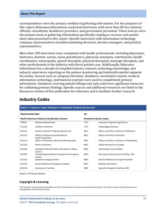#### **About This Report**

correspondence were the primary method of gathering information. For the purposes of this report, Kalorama Information conducted interviews with more than 80 key industry officials, consultants, healthcare providers, and government personnel. These sources were the primary basis in gathering information specifically relating to revenue and market share data presented in this report. Specific interviews with information technology company representatives included marketing directors, division managers, and product representatives.

More than 100 interviews were completed with health professionals, including physicians, dieticians, dentists, nurses, nurse practitioners, physician assistants, nutritionists, health coordinators, naturopaths, speech therapists, physical therapists, massage therapists, and other professionals in the industry with direct patient care. Additionally, Kalorama Information has a decade of compiled industry contacts, technology knowledge, and industry experience reporting on the patient monitoring and telehealth market segment. Secondary sources such as company literature, databases, investment reports, medical, information technology, and business journals were used to complement primary information. Databases covering patient billings and units sold were significant resources for validating primary findings. Specific sources and additional resources are listed in the Resources section of this publication for reference and to facilitate further research.

#### <span id="page-4-0"></span>**Industry Codes**

<span id="page-4-1"></span>

| Table 5   Industry Codes Related to Telehealth Products & Services |                                                                    |                                |                                               |  |
|--------------------------------------------------------------------|--------------------------------------------------------------------|--------------------------------|-----------------------------------------------|--|
| <b>NAICS/SCIAN 2007</b>                                            |                                                                    | <b>SIC</b>                     |                                               |  |
| <b>North American Industry Classification System</b>               |                                                                    | <b>Standard Industry Codes</b> |                                               |  |
| 334611                                                             | Software Reproducing                                               | 7371                           | <b>Computer Programming Services</b>          |  |
| 511210                                                             | Software Publishers                                                | 7372                           | Prepackaged Software                          |  |
| 541511                                                             | <b>Custom Computer Programming Services</b>                        | 8011                           | Offices and Clinics of Doctors of Medicine    |  |
| 621111                                                             | Offices of Physicians (except Mental<br><b>Health Specialists)</b> | 8021                           | Offices and Clinics of Dentists               |  |
| 621112                                                             | Offices of Physicians, Mental Health Specialists                   | 8031                           | Offices and Clinics of Doctors of Osteopathy  |  |
| 621210                                                             | <b>Offices of Dentists</b>                                         | 8051                           | <b>Skilled Nursing Care Facilities</b>        |  |
| 621420                                                             | <b>Outpatient Mental Health and Substance Abuse</b><br>Centers     | 8052                           | Intermediate Care Facilities                  |  |
| 621493                                                             | Freestanding Ambulatory Surgical and Emergency<br>Centers          | 8059                           | Nursing and Personal Care Facilities, NEC     |  |
| 621512                                                             | Diagnostic Imaging Centers                                         | 8062                           | <b>General Medical and Surgical Hospitals</b> |  |
| 622110                                                             | <b>General Medical and Surgical Hospitals</b>                      | 8071                           | <b>Medical Laboratories</b>                   |  |
| 623110                                                             | <b>Nursing Care Facilities</b>                                     | 8093                           | Specialty Outpatient Facilities, NEC          |  |

Source: US Census Bureau

#### **Copyright & Licensing**

The full report is protected by copyright laws of the United States of America and international treaties. The entire contents of the publication are copyrighted by The Freedonia Group.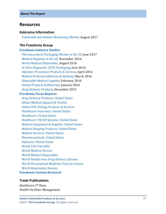#### <span id="page-5-0"></span>**Resources**

#### **Kalorama Information**

 *[Telehealth and Patient Monitoring Market,](https://www.kaloramainformation.com/Telehealth-Patient-Monitoring-11076070/)* August 2017

#### **The Freedonia Group**

#### **[Freedonia Industry Studies](http://www.freedoniagroup.com/Home.aspx?ReferrerId=FL-Focus)**

 *[Pharmaceutical Packaging Market in the US,](http://www.freedoniagroup.com/DocumentDetails.aspx?ReferrerId=FL-FOCUS&studyid=3523)* June 2017  *[Medical Implants in the US](http://www.freedoniagroup.com/DocumentDetails.aspx?ReferrerId=FL-FOCUS&studyid=3465)*, November 2016  *[World Medical Disposables,](http://www.freedoniagroup.com/DocumentDetails.aspx?ReferrerId=FL-FOCUS&studyid=3446)* August 2016  *[In Vitro Diagnostic \(IVD\) Packaging](http://www.freedoniagroup.com/DocumentDetails.aspx?ReferrerId=FL-FOCUS&studyid=3421)*, June 2016 *[Infection Prevention Products & Services](http://www.freedoniagroup.com/DocumentDetails.aspx?ReferrerId=FL-FOCUS&studyid=3403)*, April 2016  *[Medical & Dental Adhesives & Sealants](http://www.freedoniagroup.com/DocumentDetails.aspx?ReferrerId=FL-FOCUS&studyid=3390)*, March 2016  *[Disposable Medical Supplies,](http://www.freedoniagroup.com/DocumentDetails.aspx?ReferrerId=FL-FOCUS&studyid=3378)* February 2016 *[Dental Products & Materials](http://www.freedoniagroup.com/DocumentDetails.aspx?ReferrerId=FL-FOCUS&studyid=3359)*, January 2016  *[Drug Delivery Products,](http://www.freedoniagroup.com/DocumentDetails.aspx?ReferrerId=FL-FOCUS&studyid=3354)* December 2015

#### **[Freedonia Focus Reports](https://www.freedoniafocusreports.com/redirect.asp?progid=89534&url=/)**

 *[Drug Delivery Products: United States](https://www.freedoniafocusreports.com/Drug-Delivery-Products-United-States-9749250/) [Global Medical Apparel & Textiles](https://www.freedoniafocusreports.com/Global-Medical-Apparel-Textiles-FW40072/) [Global PCR Testing Products & Services](https://www.freedoniafocusreports.com/Global-PCR-Testing-Products-Services-FW40073/) [Healthcare Insurance: United States](https://www.freedoniafocusreports.com/Healthcare-Insurance-United-States-8983284/) [Healthcare: United States](https://www.freedoniafocusreports.com/Healthcare-United-States-9513084/) [Healthcare VR/AR Systems: United States](https://www.freedoniafocusreports.com/Healthcare-VR-AR-Systems-United-States-FF40074/) [Medical Equipment & Supplies: United States](https://www.freedoniafocusreports.com/Medical-Equipment-Supplies-United-States-9864009/) [Medical Imaging Products: United States](https://www.freedoniafocusreports.com/Medical-Imaging-Products-United-States-9402419/) [Medical Services: United States](https://www.freedoniafocusreports.com/Medical-Services-United-States-9513114/) [Pharmaceuticals: United States](https://www.freedoniafocusreports.com/Pharmaceuticals-United-States-10048193/) [Software: United States](https://www.freedoniafocusreports.com/Software-United-States-FF95028/) [World Cell-Free DNA](https://www.freedoniafocusreports.com/World-Cell-Free-DNA-10775064/) World [Medical Devices](https://www.freedoniafocusreports.com/World-Medical-Devices-10335318/) [World Medical Disposables](https://www.freedoniafocusreports.com/World-Medical-Disposables-10335312/)  [World Needle-Free Drug Delivery Systems](https://www.freedoniafocusreports.com/World-Needle-Free-Drug-Delivery-Systems-10335315/) [World Personalized Medicine Tests for Cancer](https://www.freedoniafocusreports.com/World-Personalized-Medicine-Tests-for-Cancer-10775061/) [World Respiratory Devices](https://www.freedoniafocusreports.com/World-Respiratory-Devices-FW40070/)* **[Freedonia Custom Research](http://www.freedoniagroup.com/CustomResearch.aspx?ReferrerId=FL-Focus)**

#### **Trade Publications**

*Healthcare IT News Health Facilities Management*